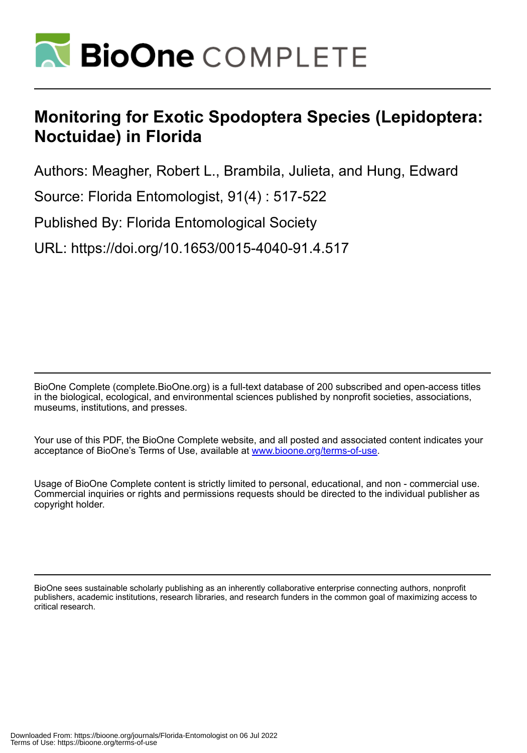

# **Monitoring for Exotic Spodoptera Species (Lepidoptera: Noctuidae) in Florida**

Authors: Meagher, Robert L., Brambila, Julieta, and Hung, Edward

Source: Florida Entomologist, 91(4) : 517-522

Published By: Florida Entomological Society

URL: https://doi.org/10.1653/0015-4040-91.4.517

BioOne Complete (complete.BioOne.org) is a full-text database of 200 subscribed and open-access titles in the biological, ecological, and environmental sciences published by nonprofit societies, associations, museums, institutions, and presses.

Your use of this PDF, the BioOne Complete website, and all posted and associated content indicates your acceptance of BioOne's Terms of Use, available at www.bioone.org/terms-of-use.

Usage of BioOne Complete content is strictly limited to personal, educational, and non - commercial use. Commercial inquiries or rights and permissions requests should be directed to the individual publisher as copyright holder.

BioOne sees sustainable scholarly publishing as an inherently collaborative enterprise connecting authors, nonprofit publishers, academic institutions, research libraries, and research funders in the common goal of maximizing access to critical research.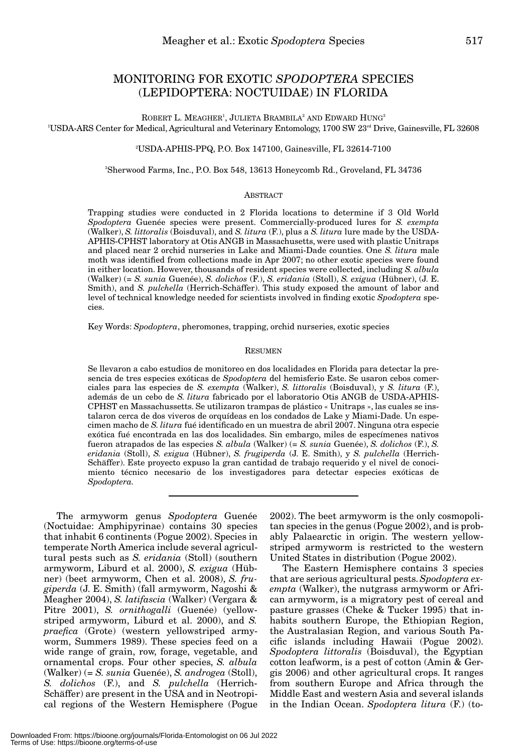# MONITORING FOR EXOTIC *SPODOPTERA* SPECIES (LEPIDOPTERA: NOCTUIDAE) IN FLORIDA

ROBERT L. MEAGHER<sup>1</sup>, JULIETA BRAMBILA $^{\rm 2}$  and Edward Hung $^{\rm 3}$ <sup>1</sup>USDA-ARS Center for Medical, Agricultural and Veterinary Entomology, 1700 SW 23<sup>rd</sup> Drive, Gainesville, FL 32608

#### 2 USDA-APHIS-PPQ, P.O. Box 147100, Gainesville, FL 32614-7100

3 Sherwood Farms, Inc., P.O. Box 548, 13613 Honeycomb Rd., Groveland, FL 34736

## **ABSTRACT**

Trapping studies were conducted in 2 Florida locations to determine if 3 Old World *Spodoptera* Guenée species were present. Commercially-produced lures for *S. exempta* (Walker), *S. littoralis* (Boisduval), and *S. litura* (F.), plus a *S. litura* lure made by the USDA-APHIS-CPHST laboratory at Otis ANGB in Massachusetts, were used with plastic Unitraps and placed near 2 orchid nurseries in Lake and Miami-Dade counties. One *S. litura* male moth was identified from collections made in Apr 2007; no other exotic species were found in either location. However, thousands of resident species were collected, including *S. albula* (Walker) (= *S. sunia* Guenée), *S. dolichos* (F.), *S. eridania* (Stoll), *S. exigua* (Hübner), (J. E. Smith), and *S. pulchella* (Herrich-Schäffer). This study exposed the amount of labor and level of technical knowledge needed for scientists involved in finding exotic *Spodoptera* species.

Key Words: *Spodoptera*, pheromones, trapping, orchid nurseries, exotic species

#### RESUMEN

Se llevaron a cabo estudios de monitoreo en dos localidades en Florida para detectar la presencia de tres especies exóticas de *Spodoptera* del hemisferio Este. Se usaron cebos comerciales para las especies de *S. exempta* (Walker), *S. littoralis* (Boisduval), y *S. litura* (F.), además de un cebo de *S. litura* fabricado por el laboratorio Otis ANGB de USDA-APHIS-CPHST en Massachussetts. Se utilizaron trampas de plástico « Unitraps », las cuales se instalaron cerca de dos viveros de orquídeas en los condados de Lake y Miami-Dade. Un especimen macho de *S. litura* fué identificado en un muestra de abril 2007. Ninguna otra especie exótica fué encontrada en las dos localidades. Sin embargo, miles de especímenes nativos fueron atrapados de las especies *S. albula* (Walker) (= *S. sunia* Guenée), *S. dolichos* (F.), *S. eridania* (Stoll), *S. exigua* (Hübner), *S. frugiperda* (J. E. Smith), y *S. pulchella* (Herrich-Schäffer). Este proyecto expuso la gran cantidad de trabajo requerido y el nivel de conocimiento técnico necesario de los investigadores para detectar especies exóticas de *Spodoptera.*

The armyworm genus *Spodoptera* Guenée (Noctuidae: Amphipyrinae) contains 30 species that inhabit 6 continents (Pogue 2002). Species in temperate North America include several agricultural pests such as *S. eridania* (Stoll) (southern armyworm, Liburd et al. 2000), *S. exigua* (Hübner) (beet armyworm, Chen et al. 2008), *S. frugiperda* (J. E. Smith) (fall armyworm, Nagoshi & Meagher 2004), *S. latifascia* (Walker) (Vergara & Pitre 2001), *S. ornithogalli* (Guenée) (yellowstriped armyworm, Liburd et al. 2000), and *S. praefica* (Grote) (western yellowstriped armyworm, Summers 1989). These species feed on a wide range of grain, row, forage, vegetable, and ornamental crops. Four other species, *S. albula* (Walker) (= *S. sunia* Guenée), *S. androgea* (Stoll), *S. dolichos* (F.), and *S. pulchella* (Herrich-Schäffer) are present in the USA and in Neotropical regions of the Western Hemisphere (Pogue

2002). The beet armyworm is the only cosmopolitan species in the genus (Pogue 2002), and is probably Palaearctic in origin. The western yellowstriped armyworm is restricted to the western United States in distribution (Pogue 2002).

The Eastern Hemisphere contains 3 species that are serious agricultural pests. *Spodoptera exempta* (Walker), the nutgrass armyworm or African armyworm, is a migratory pest of cereal and pasture grasses (Cheke & Tucker 1995) that inhabits southern Europe, the Ethiopian Region, the Australasian Region, and various South Pacific islands including Hawaii (Pogue 2002). *Spodoptera littoralis* (Boisduval), the Egyptian cotton leafworm, is a pest of cotton (Amin & Gergis 2006) and other agricultural crops. It ranges from southern Europe and Africa through the Middle East and western Asia and several islands in the Indian Ocean. *Spodoptera litura* (F.) (to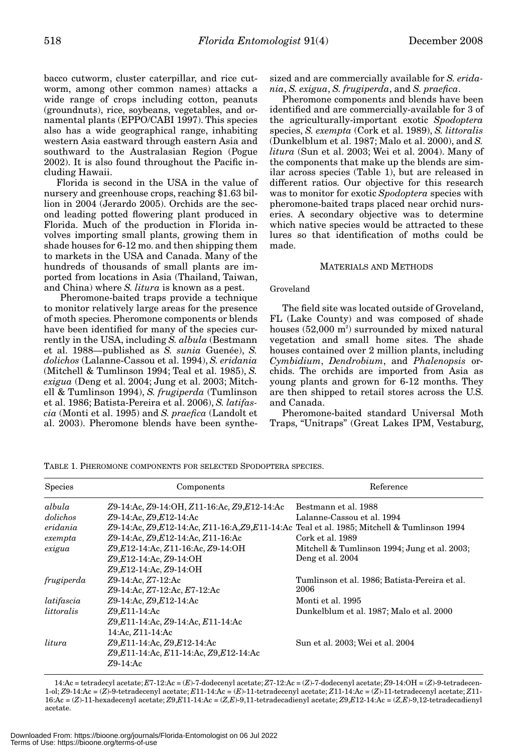bacco cutworm, cluster caterpillar, and rice cutworm, among other common names) attacks a wide range of crops including cotton, peanuts (groundnuts), rice, soybeans, vegetables, and ornamental plants (EPPO/CABI 1997). This species also has a wide geographical range, inhabiting western Asia eastward through eastern Asia and southward to the Australasian Region (Pogue 2002). It is also found throughout the Pacific including Hawaii.

Florida is second in the USA in the value of nursery and greenhouse crops, reaching \$1.63 billion in 2004 (Jerardo 2005). Orchids are the second leading potted flowering plant produced in Florida. Much of the production in Florida involves importing small plants, growing them in shade houses for 6-12 mo. and then shipping them to markets in the USA and Canada. Many of the hundreds of thousands of small plants are imported from locations in Asia (Thailand, Taiwan, and China) where *S. litura* is known as a pest.

Pheromone-baited traps provide a technique to monitor relatively large areas for the presence of moth species. Pheromone components or blends have been identified for many of the species currently in the USA, including *S. albula* (Bestmann et al. 1988—published as *S. sunia* Guenée), *S. dolichos* (Lalanne-Cassou et al. 1994), *S. eridania* (Mitchell & Tumlinson 1994; Teal et al. 1985), *S. exigua* (Deng et al. 2004; Jung et al. 2003; Mitchell & Tumlinson 1994), *S. frugiperda* (Tumlinson et al. 1986; Batista-Pereira et al. 2006), *S. latifascia* (Monti et al. 1995) and *S. praefica* (Landolt et al. 2003). Pheromone blends have been synthesized and are commercially available for *S. eridania*, *S. exigua*, *S. frugiperda*, and *S. praefica*.

Pheromone components and blends have been identified and are commercially-available for 3 of the agriculturally-important exotic *Spodoptera* species, *S. exempta* (Cork et al. 1989), *S. littoralis* (Dunkelblum et al. 1987; Malo et al. 2000), and *S. litura* (Sun et al. 2003; Wei et al. 2004). Many of the components that make up the blends are similar across species (Table 1), but are released in different ratios. Our objective for this research was to monitor for exotic *Spodoptera* species with pheromone-baited traps placed near orchid nurseries. A secondary objective was to determine which native species would be attracted to these lures so that identification of moths could be made.

# MATERIALS AND METHODS

# Groveland

The field site was located outside of Groveland, FL (Lake County) and was composed of shade houses  $(52{,}000 \text{ m}^2)$  surrounded by mixed natural vegetation and small home sites. The shade houses contained over 2 million plants, including *Cymbidium*, *Dendrobium*, and *Phalenopsis* orchids. The orchids are imported from Asia as young plants and grown for 6-12 months. They are then shipped to retail stores across the U.S. and Canada.

Pheromone-baited standard Universal Moth Traps, "Unitraps" (Great Lakes IPM, Vestaburg,

Species **Species** Components **Components** Reference *albula Z*9-14:Ac, *Z*9-14:OH, *Z*11-16:Ac, *Z*9,*E*12-14:Ac Bestmann et al. 1988 *dolichos Z*9-14:Ac, *Z*9,*E*12-14:Ac Lalanne-Cassou et al. 1994 *eridania Z*9-14:Ac, *Z*9,*E*12-14:Ac, *Z*11-16:A,*Z*9,*E*11-14:Ac Teal et al. 1985; Mitchell & Tumlinson 1994 *exempta Z*9-14:Ac, *Z*9,*E*12-14:Ac, *Z*11-16:Ac Cork et al. 1989 *exigua Z*9,*E*12-14:Ac, *Z*11-16:Ac, *Z*9-14:OH Mitchell & Tumlinson 1994; Jung et al. 2003; *Z*9,*E*12-14:Ac, *Z*9-14:OH Deng et al. 2004 *Z*9,*E*12-14:Ac, *Z*9-14:OH *frugiperda Z*9-14:Ac, *Z*7-12:Ac Tumlinson et al. 1986; Batista-Pereira et al. *Z*9-14:Ac, *Z*7-12:Ac, *E*7-12:Ac 2006 *latifascia Z*9-14:Ac, *Z*9,*E*12-14:Ac **Monti et al. 1995**<br>*littoralis Z*9,*E*11-14:Ac **Dunkelblum** et a *littoralis Z*9,*E*11-14:Ac Dunkelblum et al. 1987; Malo et al. 2000 *Z*9,*E*11-14:Ac, *Z*9-14:Ac, *E*11-14:Ac 14:Ac, *Z*11-14:Ac *litura Z*9,*E*11-14:Ac, *Z*9,*E*12-14:Ac Sun et al. 2003; Wei et al. 2004 *Z*9,*E*11-14:Ac, *E*11-14:Ac, *Z*9,*E*12-14:Ac *Z*9-14:Ac

TABLE 1. PHEROMONE COMPONENTS FOR SELECTED SPODOPTERA SPECIES.

14:Ac = tetradecyl acetate; *E*7-12:Ac = (*E*)-7-dodecenyl acetate; *Z*7-12:Ac = (*Z*)-7-dodecenyl acetate; *Z*9-14:OH = (*Z*)-9-tetradecen-1-ol; *Z*9-14:Ac = (*Z*)-9-tetradecenyl acetate; *E*11-14:Ac = (*E*)-11-tetradecenyl acetate; *Z*11-14:Ac = (*Z*)-11-tetradecenyl acetate; *Z*11- 16:Ac = (*Z*)-11-hexadecenyl acetate; *Z*9,*E*11-14:Ac = (*Z,E*)-9,11-tetradecadienyl acetate; *Z*9,*E*12-14:Ac = (*Z,E*)-9,12-tetradecadienyl acetate.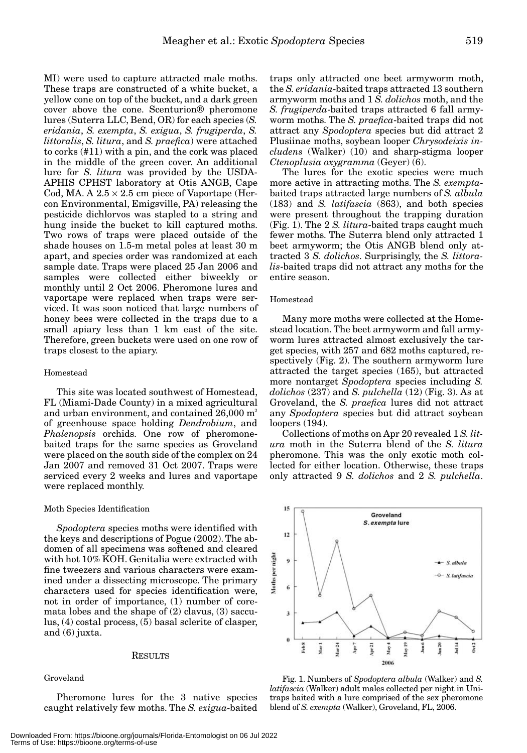MI) were used to capture attracted male moths. These traps are constructed of a white bucket, a yellow cone on top of the bucket, and a dark green cover above the cone. Scenturion® pheromone lures (Suterra LLC, Bend, OR) for each species (*S. eridania*, *S. exempta*, *S. exigua*, *S. frugiperda*, *S. littoralis*, *S. litura*, and *S. praefica*) were attached to corks (#11) with a pin, and the cork was placed in the middle of the green cover. An additional lure for *S. litura* was provided by the USDA-APHIS CPHST laboratory at Otis ANGB, Cape Cod, MA. A  $2.5 \times 2.5$  cm piece of Vaportape (Hercon Environmental, Emigsville, PA) releasing the pesticide dichlorvos was stapled to a string and hung inside the bucket to kill captured moths. Two rows of traps were placed outside of the shade houses on 1.5-m metal poles at least 30 m apart, and species order was randomized at each sample date. Traps were placed 25 Jan 2006 and samples were collected either biweekly or monthly until 2 Oct 2006. Pheromone lures and vaportape were replaced when traps were serviced. It was soon noticed that large numbers of honey bees were collected in the traps due to a small apiary less than 1 km east of the site. Therefore, green buckets were used on one row of

## Homestead

This site was located southwest of Homestead, FL (Miami-Dade County) in a mixed agricultural and urban environment, and contained  $26,000$  m<sup>2</sup> of greenhouse space holding *Dendrobium*, and *Phalenopsis* orchids. One row of pheromonebaited traps for the same species as Groveland were placed on the south side of the complex on 24 Jan 2007 and removed 31 Oct 2007. Traps were serviced every 2 weeks and lures and vaportape were replaced monthly.

#### Moth Species Identification

traps closest to the apiary.

*Spodoptera* species moths were identified with the keys and descriptions of Pogue (2002). The abdomen of all specimens was softened and cleared with hot 10% KOH. Genitalia were extracted with fine tweezers and various characters were examined under a dissecting microscope. The primary characters used for species identification were, not in order of importance, (1) number of coremata lobes and the shape of (2) clavus, (3) sacculus, (4) costal process, (5) basal sclerite of clasper, and (6) juxta.

#### RESULTS

# Groveland

Pheromone lures for the 3 native species caught relatively few moths. The *S. exigua*-baited traps only attracted one beet armyworm moth, the *S. eridania*-baited traps attracted 13 southern armyworm moths and 1 *S. dolichos* moth, and the *S. frugiperda*-baited traps attracted 6 fall armyworm moths. The *S. praefica*-baited traps did not attract any *Spodoptera* species but did attract 2 Plusiinae moths, soybean looper *Chrysodeixis includens* (Walker) (10) and sharp-stigma looper *Ctenoplusia oxygramma* (Geyer) (6).

The lures for the exotic species were much more active in attracting moths. The *S. exempta*baited traps attracted large numbers of *S. albula* (183) and *S. latifascia* (863), and both species were present throughout the trapping duration (Fig. 1). The 2 *S. litura*-baited traps caught much fewer moths. The Suterra blend only attracted 1 beet armyworm; the Otis ANGB blend only attracted 3 *S. dolichos*. Surprisingly, the *S. littoralis*-baited traps did not attract any moths for the entire season.

# Homestead

Many more moths were collected at the Homestead location. The beet armyworm and fall armyworm lures attracted almost exclusively the target species, with 257 and 682 moths captured, respectively (Fig. 2). The southern armyworm lure attracted the target species (165), but attracted more nontarget *Spodoptera* species including *S. dolichos* (237) and *S. pulchella* (12) (Fig. 3). As at Groveland, the *S. praefica* lures did not attract any *Spodoptera* species but did attract soybean loopers (194).

Collections of moths on Apr 20 revealed 1 *S. litura* moth in the Suterra blend of the *S. litura* pheromone. This was the only exotic moth collected for either location. Otherwise, these traps only attracted 9 *S. dolichos* and 2 *S. pulchella*.



Fig. 1. Numbers of *Spodoptera albula* (Walker) and *S. latifascia* (Walker) adult males collected per night in Unitraps baited with a lure comprised of the sex pheromone blend of *S. exempta* (Walker), Groveland, FL, 2006.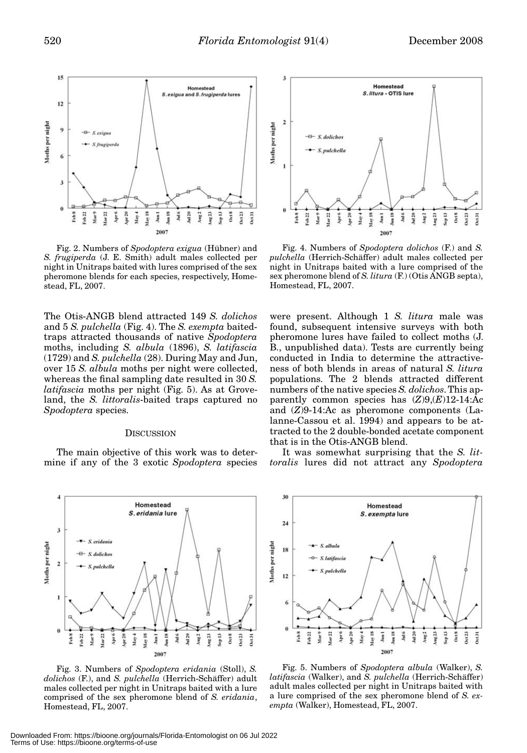

Fig. 2. Numbers of *Spodoptera exigua* (Hübner) and *S. frugiperda* (J. E. Smith) adult males collected per night in Unitraps baited with lures comprised of the sex pheromone blends for each species, respectively, Homestead, FL, 2007.

The Otis-ANGB blend attracted 149 *S. dolichos* and 5 *S. pulchella* (Fig. 4). The *S. exempta* baitedtraps attracted thousands of native *Spodoptera* moths, including *S. albula* (1896), *S. latifascia* (1729) and *S. pulchella* (28). During May and Jun, over 15 *S. albula* moths per night were collected, whereas the final sampling date resulted in 30 *S. latifascia* moths per night (Fig. 5). As at Groveland, the *S. littoralis*-baited traps captured no *Spodoptera* species.

#### **DISCUSSION**

The main objective of this work was to determine if any of the 3 exotic *Spodoptera* species



Fig. 3. Numbers of *Spodoptera eridania* (Stoll), *S. dolichos* (F.), and *S. pulchella* (Herrich-Schäffer) adult males collected per night in Unitraps baited with a lure comprised of the sex pheromone blend of *S. eridania*, Homestead, FL, 2007.



Fig. 4. Numbers of *Spodoptera dolichos* (F.) and *S. pulchella* (Herrich-Schäffer) adult males collected per night in Unitraps baited with a lure comprised of the sex pheromone blend of *S. litura* (F.) (Otis ANGB septa), Homestead, FL, 2007.

were present. Although 1 *S. litura* male was found, subsequent intensive surveys with both pheromone lures have failed to collect moths (J. B., unpublished data). Tests are currently being conducted in India to determine the attractiveness of both blends in areas of natural *S. litura* populations. The 2 blends attracted different numbers of the native species *S. dolichos*. This apparently common species has  $(Z)9(E)12-14$ :Ac and (*Z*)9-14:Ac as pheromone components (Lalanne-Cassou et al. 1994) and appears to be attracted to the 2 double-bonded acetate component that is in the Otis-ANGB blend.

It was somewhat surprising that the *S. littoralis* lures did not attract any *Spodoptera*



Fig. 5. Numbers of *Spodoptera albula* (Walker), *S. latifascia* (Walker), and *S. pulchella* (Herrich-Schäffer) adult males collected per night in Unitraps baited with a lure comprised of the sex pheromone blend of *S. exempta* (Walker), Homestead, FL, 2007.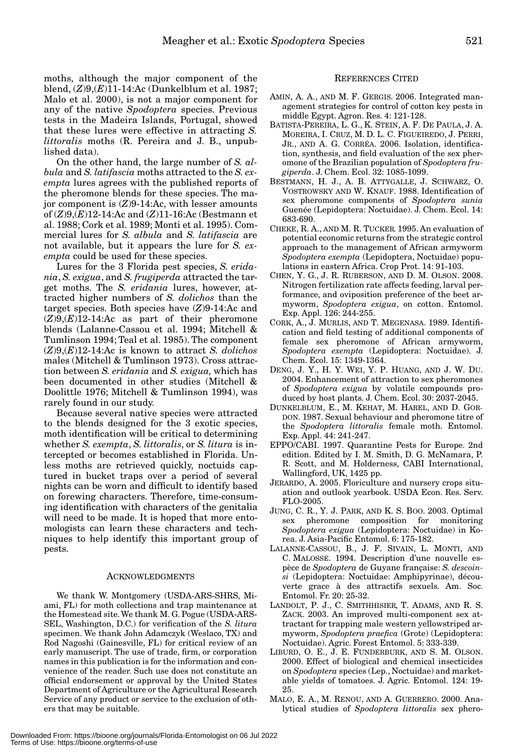moths, although the major component of the blend, (*Z*)9,(*E*)11-14:Ac (Dunkelblum et al. 1987; Malo et al. 2000), is not a major component for any of the native *Spodoptera* species. Previous tests in the Madeira Islands, Portugal, showed that these lures were effective in attracting *S. littoralis* moths (R. Pereira and J. B., unpublished data).

On the other hand, the large number of *S. albula* and *S. latifascia* moths attracted to the *S. exempta* lures agrees with the published reports of the pheromone blends for these species. The major component is (*Z*)9-14:Ac, with lesser amounts of (*Z*)9,(*E*)12-14:Ac and (*Z*)11-16:Ac (Bestmann et al. 1988; Cork et al. 1989; Monti et al. 1995). Commercial lures for *S. albula* and *S. latifascia* are not available, but it appears the lure for *S. exempta* could be used for these species.

Lures for the 3 Florida pest species, *S. eridania*, *S. exigua*, and *S. frugiperda* attracted the target moths. The *S. eridania* lures, however, attracted higher numbers of *S. dolichos* than the target species. Both species have (*Z*)9-14:Ac and (*Z*)9,(*E*)12-14:Ac as part of their pheromone blends (Lalanne-Cassou et al. 1994; Mitchell & Tumlinson 1994; Teal et al. 1985). The component (*Z*)9,(*E*)12-14:Ac is known to attract *S. dolichos* males (Mitchell & Tumlinson 1973). Cross attraction between *S. eridania* and *S. exigua,* which has been documented in other studies (Mitchell & Doolittle 1976; Mitchell & Tumlinson 1994), was rarely found in our study.

Because several native species were attracted to the blends designed for the 3 exotic species, moth identification will be critical to determining whether *S. exempta*, *S. littoralis*, or *S. litura* is intercepted or becomes established in Florida. Unless moths are retrieved quickly, noctuids captured in bucket traps over a period of several nights can be worn and difficult to identify based on forewing characters. Therefore, time-consuming identification with characters of the genitalia will need to be made. It is hoped that more entomologists can learn these characters and techniques to help identify this important group of pests.

#### ACKNOWLEDGMENTS

We thank W. Montgomery (USDA-ARS-SHRS, Miami, FL) for moth collections and trap maintenance at the Homestead site. We thank M. G. Pogue (USDA-ARS-SEL, Washington, D.C.) for verification of the *S. litura* specimen. We thank John Adamczyk (Weslaco, TX) and Rod Nagoshi (Gainesville, FL) for critical review of an early manuscript. The use of trade, firm, or corporation names in this publication is for the information and convenience of the reader. Such use does not constitute an official endorsement or approval by the United States Department of Agriculture or the Agricultural Research Service of any product or service to the exclusion of others that may be suitable.

# REFERENCES CITED

- AMIN, A. A., AND M. F. GERGIS. 2006. Integrated management strategies for control of cotton key pests in middle Egypt. Agron. Res. 4: 121-128.
- BATISTA-PEREIRA, L. G., K. STEIN, A. F. DE PAULA, J. A. MOREIRA, I. CRUZ, M. D. L. C. FIGUEIREDO, J. PERRI, JR., AND A. G. CORRÉA. 2006. Isolation, identification, synthesis, and field evaluation of the sex pheromone of the Brazilian population of *Spodoptera frugiperda*. J. Chem. Ecol. 32: 1085-1099.
- BESTMANN, H. J., A. B. ATTYGALLE, J. SCHWARZ, O. VOSTROWSKY AND W. KNAUF. 1988. Identification of sex pheromone components of *Spodoptera sunia* Guenée (Lepidoptera: Noctuidae). J. Chem. Ecol. 14: 683-690.
- CHEKE, R. A., AND M. R. TUCKER. 1995. An evaluation of potential economic returns from the strategic control approach to the management of African armyworm *Spodoptera exempta* (Lepidoptera, Noctuidae) populations in eastern Africa. Crop Prot. 14: 91-103.
- CHEN, Y. G., J. R. RUBERSON, AND D. M. OLSON. 2008. Nitrogen fertilization rate affects feeding, larval performance, and oviposition preference of the beet armyworm, *Spodoptera exigua*, on cotton. Entomol. Exp. Appl. 126: 244-255.
- CORK, A., J. MURLIS, AND T. MEGENASA. 1989. Identification and field testing of additional components of female sex pheromone of African armyworm, *Spodoptera exempta* (Lepidoptera: Noctuidae). J. Chem. Ecol. 15: 1349-1364.
- DENG, J. Y., H. Y. WEI, Y. P. HUANG, AND J. W. DU. 2004. Enhancement of attraction to sex pheromones of *Spodoptera exigua* by volatile compounds produced by host plants. J. Chem. Ecol. 30: 2037-2045.
- DUNKELBLUM, E., M. KEHAT, M. HAREL, AND D. GOR-DON. 1987. Sexual behaviour and pheromone titre of the *Spodoptera littoralis* female moth. Entomol. Exp. Appl. 44: 241-247.
- EPPO/CABI. 1997. Quarantine Pests for Europe. 2nd edition. Edited by I. M. Smith, D. G. McNamara, P. R. Scott, and M. Holderness, CABI International, Wallingford, UK, 1425 pp.
- JERARDO, A. 2005. Floriculture and nursery crops situation and outlook yearbook. USDA Econ. Res. Serv. FLO-2005.
- JUNG, C. R., Y. J. PARK, AND K. S. BOO. 2003. Optimal sex pheromone composition for monitoring *Spodoptera exigua* (Lepidoptera: Noctuidae) in Korea. J. Asia-Pacific Entomol. 6: 175-182.
- LALANNE-CASSOU, B., J. F. SIVAIN, L. MONTI, AND C. MALOSSE. 1994. Description d'une nouvelle espèce de *Spodoptera* de Guyane française: *S. descoinsi* (Lepidoptera: Noctuidae: Amphipyrinae), découverte grace à des attractifs sexuels. Am. Soc. Entomol. Fr. 20: 25-32.
- LANDOLT, P. J., C. SMITHHISIER, T. ADAMS, AND R. S. ZACK. 2003. An improved multi-component sex attractant for trapping male western yellowstriped armyworm, *Spodoptera praefica* (Grote) (Lepidoptera: Noctuidae). Agric. Forest Entomol. 5: 333-339.
- LIBURD, O. E., J. E. FUNDERBURK, AND S. M. OLSON. 2000. Effect of biological and chemical insecticides on *Spodoptera* species (Lep., Noctuidae) and marketable yields of tomatoes. J. Agric. Entomol. 124: 19- 25.
- MALO, E. A., M. RENOU, AND A. GUERRERO. 2000. Analytical studies of *Spodoptera littoralis* sex phero-